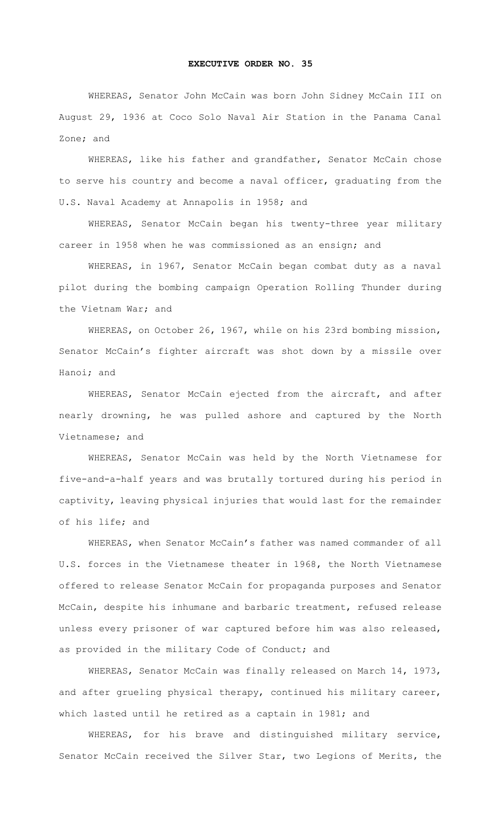## **EXECUTIVE ORDER NO. 35**

WHEREAS, Senator John McCain was born John Sidney McCain III on August 29, 1936 at Coco Solo Naval Air Station in the Panama Canal Zone; and

WHEREAS, like his father and grandfather, Senator McCain chose to serve his country and become a naval officer, graduating from the U.S. Naval Academy at Annapolis in 1958; and

WHEREAS, Senator McCain began his twenty-three year military career in 1958 when he was commissioned as an ensign; and

WHEREAS, in 1967, Senator McCain began combat duty as a naval pilot during the bombing campaign Operation Rolling Thunder during the Vietnam War; and

WHEREAS, on October 26, 1967, while on his 23rd bombing mission, Senator McCain's fighter aircraft was shot down by a missile over Hanoi; and

WHEREAS, Senator McCain ejected from the aircraft, and after nearly drowning, he was pulled ashore and captured by the North Vietnamese; and

WHEREAS, Senator McCain was held by the North Vietnamese for five-and-a-half years and was brutally tortured during his period in captivity, leaving physical injuries that would last for the remainder of his life; and

WHEREAS, when Senator McCain's father was named commander of all U.S. forces in the Vietnamese theater in 1968, the North Vietnamese offered to release Senator McCain for propaganda purposes and Senator McCain, despite his inhumane and barbaric treatment, refused release unless every prisoner of war captured before him was also released, as provided in the military Code of Conduct; and

WHEREAS, Senator McCain was finally released on March 14, 1973, and after grueling physical therapy, continued his military career, which lasted until he retired as a captain in 1981; and

WHEREAS, for his brave and distinguished military service, Senator McCain received the Silver Star, two Legions of Merits, the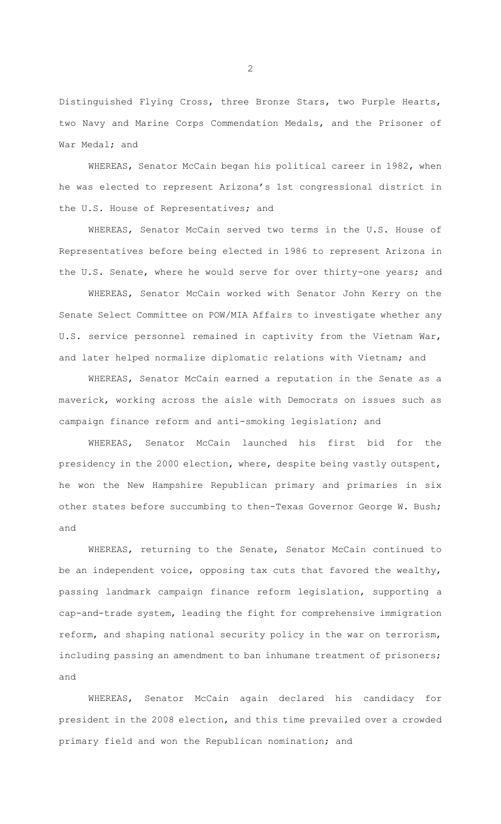Distinguished Flying Cross, three Bronze Stars, two Purple Hearts, two Navy and Marine Corps Commendation Medals, and the Prisoner of War Medal; and

WHEREAS, Senator McCain began his political career in 1982, when he was elected to represent Arizona's 1st congressional district in the U.S. House of Representatives; and

WHEREAS, Senator McCain served two terms in the U.S. House of Representatives before being elected in 1986 to represent Arizona in the U.S. Senate, where he would serve for over thirty-one years; and

WHEREAS, Senator McCain worked with Senator John Kerry on the Senate Select Committee on POW/MIA Affairs to investigate whether any U.S. service personnel remained in captivity from the Vietnam War, and later helped normalize diplomatic relations with Vietnam; and

WHEREAS, Senator McCain earned a reputation in the Senate as a maverick, working across the aisle with Democrats on issues such as campaign finance reform and anti-smoking legislation; and

WHEREAS, Senator McCain launched his first bid for the presidency in the 2000 election, where, despite being vastly outspent, he won the New Hampshire Republican primary and primaries in six other states before succumbing to then-Texas Governor George W. Bush; and

WHEREAS, returning to the Senate, Senator McCain continued to be an independent voice, opposing tax cuts that favored the wealthy, passing landmark campaign finance reform legislation, supporting a cap-and-trade system, leading the fight for comprehensive immigration reform, and shaping national security policy in the war on terrorism, including passing an amendment to ban inhumane treatment of prisoners; and

WHEREAS, Senator McCain again declared his candidacy for president in the 2008 election, and this time prevailed over a crowded primary field and won the Republican nomination; and

 $\mathcal{P}$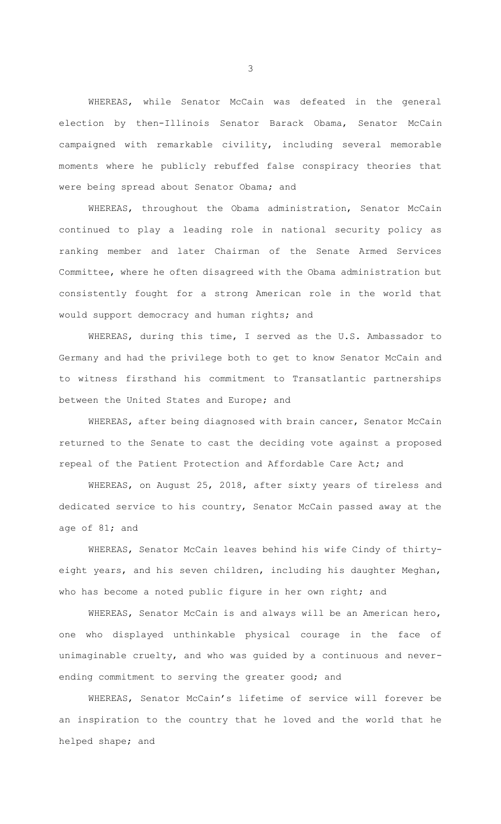WHEREAS, while Senator McCain was defeated in the general election by then-Illinois Senator Barack Obama, Senator McCain campaigned with remarkable civility, including several memorable moments where he publicly rebuffed false conspiracy theories that were being spread about Senator Obama; and

WHEREAS, throughout the Obama administration, Senator McCain continued to play a leading role in national security policy as ranking member and later Chairman of the Senate Armed Services Committee, where he often disagreed with the Obama administration but consistently fought for a strong American role in the world that would support democracy and human rights; and

WHEREAS, during this time, I served as the U.S. Ambassador to Germany and had the privilege both to get to know Senator McCain and to witness firsthand his commitment to Transatlantic partnerships between the United States and Europe; and

WHEREAS, after being diagnosed with brain cancer, Senator McCain returned to the Senate to cast the deciding vote against a proposed repeal of the Patient Protection and Affordable Care Act; and

WHEREAS, on August 25, 2018, after sixty years of tireless and dedicated service to his country, Senator McCain passed away at the age of 81; and

WHEREAS, Senator McCain leaves behind his wife Cindy of thirtyeight years, and his seven children, including his daughter Meghan, who has become a noted public figure in her own right; and

WHEREAS, Senator McCain is and always will be an American hero, one who displayed unthinkable physical courage in the face of unimaginable cruelty, and who was guided by a continuous and neverending commitment to serving the greater good; and

WHEREAS, Senator McCain's lifetime of service will forever be an inspiration to the country that he loved and the world that he helped shape; and

3